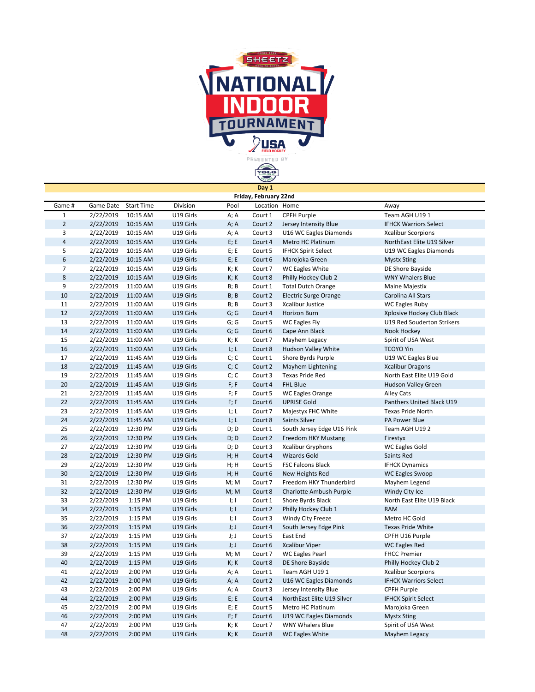

|                         |           |                   |           |                           | Day 1                 |                              |                              |
|-------------------------|-----------|-------------------|-----------|---------------------------|-----------------------|------------------------------|------------------------------|
|                         |           |                   |           |                           | Friday, February 22nd |                              |                              |
| Game #                  | Game Date | <b>Start Time</b> | Division  | Pool                      | Location Home         |                              | Away                         |
| $\mathbf{1}$            | 2/22/2019 | 10:15 AM          | U19 Girls | A; A                      | Court 1               | CPFH Purple                  | Team AGH U191                |
| $\overline{2}$          | 2/22/2019 | 10:15 AM          | U19 Girls | A; A                      | Court 2               | Jersey Intensity Blue        | <b>IFHCK Warriors Select</b> |
| 3                       | 2/22/2019 | 10:15 AM          | U19 Girls | A; A                      | Court 3               | U16 WC Eagles Diamonds       | <b>Xcalibur Scorpions</b>    |
| $\overline{\mathbf{4}}$ | 2/22/2019 | 10:15 AM          | U19 Girls | E; E                      | Court 4               | Metro HC Platinum            | NorthEast Elite U19 Silver   |
| 5                       | 2/22/2019 | 10:15 AM          | U19 Girls | E; E                      | Court 5               | <b>IFHCK Spirit Select</b>   | U19 WC Eagles Diamonds       |
| 6                       | 2/22/2019 | 10:15 AM          | U19 Girls | E; E                      | Court 6               | Marojoka Green               | <b>Mystx Sting</b>           |
| $\overline{7}$          | 2/22/2019 | 10:15 AM          | U19 Girls | K; K                      | Court 7               | <b>WC Eagles White</b>       | DE Shore Bayside             |
| 8                       | 2/22/2019 | 10:15 AM          | U19 Girls | K; K                      | Court 8               | Philly Hockey Club 2         | <b>WNY Whalers Blue</b>      |
| 9                       | 2/22/2019 | 11:00 AM          | U19 Girls | B; B                      | Court 1               | <b>Total Dutch Orange</b>    | Maine Majestix               |
| 10                      | 2/22/2019 | 11:00 AM          | U19 Girls | B; B                      | Court 2               | <b>Electric Surge Orange</b> | Carolina All Stars           |
| 11                      | 2/22/2019 | 11:00 AM          | U19 Girls | B; B                      | Court 3               | Xcalibur Justice             | WC Eagles Ruby               |
| 12                      | 2/22/2019 | 11:00 AM          | U19 Girls | G; G                      | Court 4               | <b>Horizon Burn</b>          | Xplosive Hockey Club Black   |
| 13                      | 2/22/2019 | 11:00 AM          | U19 Girls | G; G                      | Court 5               | <b>WC Eagles Fly</b>         | U19 Red Souderton Strikers   |
| 14                      | 2/22/2019 | 11:00 AM          | U19 Girls | G; G                      | Court 6               | Cape Ann Black               | Nook Hockey                  |
| 15                      | 2/22/2019 | 11:00 AM          | U19 Girls | K; K                      | Court 7               | Mayhem Legacy                | Spirit of USA West           |
| 16                      | 2/22/2019 | 11:00 AM          | U19 Girls | L; L                      | Court 8               | Hudson Valley White          | <b>TCOYO Yin</b>             |
| 17                      | 2/22/2019 | 11:45 AM          | U19 Girls | C; C                      | Court 1               | Shore Byrds Purple           | U19 WC Eagles Blue           |
| 18                      | 2/22/2019 | 11:45 AM          | U19 Girls | C; C                      | Court 2               | Mayhem Lightening            | <b>Xcalibur Dragons</b>      |
| 19                      | 2/22/2019 | 11:45 AM          | U19 Girls | C; C                      | Court 3               | <b>Texas Pride Red</b>       | North East Elite U19 Gold    |
| 20                      | 2/22/2019 | 11:45 AM          | U19 Girls | F; F                      | Court 4               | <b>FHL Blue</b>              | <b>Hudson Valley Green</b>   |
| 21                      | 2/22/2019 | 11:45 AM          | U19 Girls | F; F                      | Court 5               | <b>WC Eagles Orange</b>      | <b>Alley Cats</b>            |
| 22                      | 2/22/2019 | 11:45 AM          | U19 Girls | F; F                      | Court 6               | <b>UPRISE Gold</b>           | Panthers United Black U19    |
| 23                      | 2/22/2019 | 11:45 AM          | U19 Girls | L; L                      | Court 7               | Majestyx FHC White           | <b>Texas Pride North</b>     |
| 24                      | 2/22/2019 | 11:45 AM          | U19 Girls | L; L                      | Court 8               | Saints Silver                | PA Power Blue                |
| 25                      | 2/22/2019 | 12:30 PM          | U19 Girls | D; D                      | Court 1               | South Jersey Edge U16 Pink   | Team AGH U192                |
| 26                      | 2/22/2019 | 12:30 PM          | U19 Girls | D; D                      | Court 2               | Freedom HKY Mustang          | Firestyx                     |
| 27                      | 2/22/2019 | 12:30 PM          | U19 Girls | D; D                      | Court 3               | <b>Xcalibur Gryphons</b>     | <b>WC Eagles Gold</b>        |
| 28                      | 2/22/2019 | 12:30 PM          | U19 Girls | H; H                      | Court 4               | <b>Wizards Gold</b>          | Saints Red                   |
| 29                      | 2/22/2019 | 12:30 PM          | U19 Girls | H; H                      | Court 5               | <b>FSC Falcons Black</b>     | <b>IFHCK Dynamics</b>        |
| 30                      | 2/22/2019 | 12:30 PM          | U19 Girls | H; H                      | Court 6               | New Heights Red              | <b>WC Eagles Swoop</b>       |
| 31                      | 2/22/2019 | 12:30 PM          | U19 Girls | M; M                      | Court 7               | Freedom HKY Thunderbird      | Mayhem Legend                |
| 32                      | 2/22/2019 | 12:30 PM          | U19 Girls | M; M                      | Court 8               | Charlotte Ambush Purple      | Windy City Ice               |
| 33                      | 2/22/2019 | 1:15 PM           | U19 Girls | l; I                      | Court 1               | Shore Byrds Black            | North East Elite U19 Black   |
| 34                      | 2/22/2019 | 1:15 PM           | U19 Girls | 1;1                       | Court 2               | Philly Hockey Club 1         | <b>RAM</b>                   |
| 35                      | 2/22/2019 | 1:15 PM           | U19 Girls | $\parallel$ ; $\parallel$ | Court 3               | Windy City Freeze            | Metro HC Gold                |
| 36                      | 2/22/2019 | 1:15 PM           | U19 Girls | J;J                       | Court 4               | South Jersey Edge Pink       | <b>Texas Pride White</b>     |
| 37                      | 2/22/2019 | 1:15 PM           | U19 Girls | J; J                      | Court 5               | East End                     | CPFH U16 Purple              |
| 38                      | 2/22/2019 | 1:15 PM           | U19 Girls | J;J                       | Court 6               | <b>Xcalibur Viper</b>        | <b>WC Eagles Red</b>         |
| 39                      | 2/22/2019 | 1:15 PM           | U19 Girls | M; M                      | Court 7               | <b>WC Eagles Pearl</b>       | <b>FHCC Premier</b>          |
| 40                      | 2/22/2019 | 1:15 PM           | U19 Girls | K; K                      | Court 8               | DE Shore Bayside             | Philly Hockey Club 2         |
| 41                      | 2/22/2019 | 2:00 PM           | U19 Girls | A; A                      | Court 1               | Team AGH U191                | <b>Xcalibur Scorpions</b>    |
| 42                      | 2/22/2019 | 2:00 PM           | U19 Girls | A; A                      | Court 2               | U16 WC Eagles Diamonds       | <b>IFHCK Warriors Select</b> |
| 43                      | 2/22/2019 | 2:00 PM           | U19 Girls | A; A                      | Court 3               | Jersey Intensity Blue        | <b>CPFH Purple</b>           |
| 44                      | 2/22/2019 | 2:00 PM           | U19 Girls | E; E                      | Court 4               | NorthEast Elite U19 Silver   | <b>IFHCK Spirit Select</b>   |
| 45                      | 2/22/2019 | 2:00 PM           | U19 Girls | E; E                      | Court 5               | Metro HC Platinum            | Marojoka Green               |
| 46                      | 2/22/2019 | 2:00 PM           | U19 Girls | E; E                      | Court 6               | U19 WC Eagles Diamonds       | <b>Mystx Sting</b>           |
| 47                      | 2/22/2019 | 2:00 PM           | U19 Girls | K; K                      | Court 7               | <b>WNY Whalers Blue</b>      | Spirit of USA West           |
| 48                      | 2/22/2019 | 2:00 PM           | U19 Girls | K; K                      | Court 8               | <b>WC Eagles White</b>       | Mayhem Legacy                |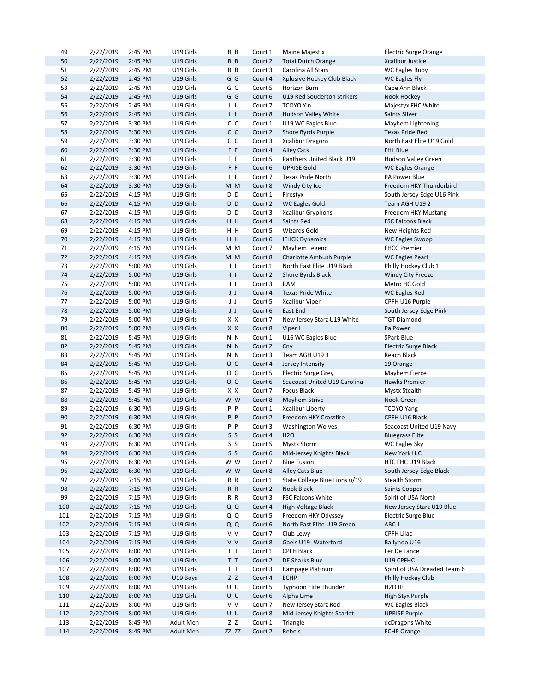| 49  | 2/22/2019 | 2:45 PM | U19 Girls        | B; B                | Court 1 | Maine Majestix                | <b>Electric Surge Orange</b> |
|-----|-----------|---------|------------------|---------------------|---------|-------------------------------|------------------------------|
| 50  | 2/22/2019 | 2:45 PM | U19 Girls        | B; B                | Court 2 | <b>Total Dutch Orange</b>     | <b>Xcalibur Justice</b>      |
| 51  | 2/22/2019 | 2:45 PM | U19 Girls        | B; B                | Court 3 | Carolina All Stars            | <b>WC Eagles Ruby</b>        |
| 52  | 2/22/2019 | 2:45 PM | U19 Girls        | G; G                | Court 4 | Xplosive Hockey Club Black    | <b>WC Eagles Fly</b>         |
| 53  | 2/22/2019 | 2:45 PM | U19 Girls        | G; G                | Court 5 | Horizon Burn                  | Cape Ann Black               |
| 54  | 2/22/2019 | 2:45 PM | U19 Girls        | G; G                | Court 6 | U19 Red Souderton Strikers    | Nook Hockey                  |
| 55  | 2/22/2019 | 2:45 PM | U19 Girls        | L; L                | Court 7 | <b>TCOYO Yin</b>              | Majestyx FHC White           |
| 56  | 2/22/2019 | 2:45 PM | U19 Girls        | L; L                | Court 8 | Hudson Valley White           | Saints Silver                |
| 57  | 2/22/2019 | 3:30 PM | U19 Girls        | C; C                | Court 1 | U19 WC Eagles Blue            | Mayhem Lightening            |
| 58  | 2/22/2019 | 3:30 PM | U19 Girls        | C; C                | Court 2 | Shore Byrds Purple            | <b>Texas Pride Red</b>       |
| 59  | 2/22/2019 | 3:30 PM | U19 Girls        | C; C                | Court 3 | <b>Xcalibur Dragons</b>       | North East Elite U19 Gold    |
| 60  | 2/22/2019 | 3:30 PM | U19 Girls        | F; F                | Court 4 | <b>Alley Cats</b>             | <b>FHL Blue</b>              |
| 61  | 2/22/2019 | 3:30 PM | U19 Girls        | F; F                | Court 5 | Panthers United Black U19     | Hudson Valley Green          |
| 62  | 2/22/2019 | 3:30 PM | U19 Girls        | F; F                | Court 6 | <b>UPRISE Gold</b>            | WC Eagles Orange             |
| 63  | 2/22/2019 | 3:30 PM | U19 Girls        | L; L                | Court 7 | <b>Texas Pride North</b>      | PA Power Blue                |
| 64  | 2/22/2019 | 3:30 PM | U19 Girls        | M; M                | Court 8 | Windy City Ice                | Freedom HKY Thunderbird      |
| 65  | 2/22/2019 | 4:15 PM | U19 Girls        | D; D                | Court 1 | Firestyx                      | South Jersey Edge U16 Pink   |
| 66  |           |         |                  |                     |         |                               |                              |
|     | 2/22/2019 | 4:15 PM | U19 Girls        | D; D                | Court 2 | <b>WC Eagles Gold</b>         | Team AGH U192                |
| 67  | 2/22/2019 | 4:15 PM | U19 Girls        | D; D                | Court 3 | <b>Xcalibur Gryphons</b>      | Freedom HKY Mustang          |
| 68  | 2/22/2019 | 4:15 PM | U19 Girls        | H; H                | Court 4 | Saints Red                    | <b>FSC Falcons Black</b>     |
| 69  | 2/22/2019 | 4:15 PM | U19 Girls        | H; H                | Court 5 | Wizards Gold                  | New Heights Red              |
| 70  | 2/22/2019 | 4:15 PM | U19 Girls        | H; H                | Court 6 | <b>IFHCK Dynamics</b>         | <b>WC Eagles Swoop</b>       |
| 71  | 2/22/2019 | 4:15 PM | U19 Girls        | M; M                | Court 7 | Mayhem Legend                 | <b>FHCC Premier</b>          |
| 72  | 2/22/2019 | 4:15 PM | U19 Girls        | M; M                | Court 8 | Charlotte Ambush Purple       | <b>WC Eagles Pearl</b>       |
| 73  | 2/22/2019 | 5:00 PM | U19 Girls        | I; I                | Court 1 | North East Elite U19 Black    | Philly Hockey Club 1         |
| 74  | 2/22/2019 | 5:00 PM | U19 Girls        | $\vert \cdot \vert$ | Court 2 | Shore Byrds Black             | <b>Windy City Freeze</b>     |
| 75  | 2/22/2019 | 5:00 PM | U19 Girls        | l; I                | Court 3 | RAM                           | Metro HC Gold                |
| 76  | 2/22/2019 | 5:00 PM | U19 Girls        | J;J                 | Court 4 | <b>Texas Pride White</b>      | <b>WC Eagles Red</b>         |
| 77  | 2/22/2019 | 5:00 PM | U19 Girls        | J; J                | Court 5 | <b>Xcalibur Viper</b>         | CPFH U16 Purple              |
| 78  | 2/22/2019 | 5:00 PM | U19 Girls        | J;J                 | Court 6 | East End                      | South Jersey Edge Pink       |
| 79  | 2/22/2019 | 5:00 PM | U19 Girls        | X; X                | Court 7 | New Jersey Starz U19 White    | <b>TGT Diamond</b>           |
| 80  | 2/22/2019 | 5:00 PM | U19 Girls        | X; X                | Court 8 | Viper I                       | Pa Power                     |
| 81  | 2/22/2019 | 5:45 PM | U19 Girls        | N; N                | Court 1 | U16 WC Eagles Blue            | SPark Blue                   |
| 82  | 2/22/2019 | 5:45 PM | U19 Girls        | N; N                | Court 2 | Cny                           | Electric Surge Black         |
| 83  | 2/22/2019 | 5:45 PM | U19 Girls        | N; N                | Court 3 | Team AGH U193                 | Reach Black                  |
| 84  | 2/22/2019 | 5:45 PM | U19 Girls        | O; O                | Court 4 | Jersey Intensity I            | 19 Orange                    |
| 85  | 2/22/2019 | 5:45 PM | U19 Girls        | O; O                | Court 5 | <b>Electric Surge Grey</b>    | Mayhem Fierce                |
| 86  | 2/22/2019 | 5:45 PM | U19 Girls        | O; O                | Court 6 | Seacoast United U19 Carolina  | Hawks Premier                |
| 87  | 2/22/2019 | 5:45 PM | U19 Girls        | X; X                | Court 7 | Focus Black                   | <b>Mystx Stealth</b>         |
| 88  | 2/22/2019 | 5:45 PM | U19 Girls        | W; W                | Court 8 | Mayhem Strive                 | Nook Green                   |
| 89  | 2/22/2019 | 6:30 PM | U19 Girls        | P; P                | Court 1 | <b>Xcalibur Liberty</b>       | <b>TCOYO Yang</b>            |
| 90  | 2/22/2019 | 6:30 PM | U19 Girls        | $P$ ; $P$           | Court 2 | Freedom HKY Crossfire         | CPFH U16 Black               |
| 91  | 2/22/2019 | 6:30 PM | U19 Girls        | P; P                | Court 3 | <b>Washington Wolves</b>      | Seacoast United U19 Navy     |
| 92  | 2/22/2019 | 6:30 PM | U19 Girls        | S; S                | Court 4 | <b>H2O</b>                    | <b>Bluegrass Elite</b>       |
| 93  | 2/22/2019 | 6:30 PM | U19 Girls        | S; S                | Court 5 | <b>Mystx Storm</b>            | WC Eagles Sky                |
| 94  | 2/22/2019 | 6:30 PM | U19 Girls        | S; S                | Court 6 | Mid-Jersey Knights Black      | New York H.C.                |
| 95  | 2/22/2019 | 6:30 PM | U19 Girls        | W; W                | Court 7 | <b>Blue Fusion</b>            | HTC FHC U19 Black            |
| 96  | 2/22/2019 | 6:30 PM | U19 Girls        | W; W                | Court 8 | Alley Cats Blue               | South Jersey Edge Black      |
| 97  | 2/22/2019 | 7:15 PM | U19 Girls        | R; R                | Court 1 | State College Blue Lions u/19 | Stealth Storm                |
| 98  | 2/22/2019 | 7:15 PM | U19 Girls        | R; R                | Court 2 | Nook Black                    | <b>Saints Copper</b>         |
| 99  | 2/22/2019 | 7:15 PM | U19 Girls        | R; R                | Court 3 | FSC Falcons White             | Spirit of USA North          |
| 100 | 2/22/2019 | 7:15 PM | U19 Girls        | Q; Q                | Court 4 | <b>High Voltage Black</b>     | New Jersey Starz U19 Blue    |
| 101 | 2/22/2019 | 7:15 PM | U19 Girls        | Q; Q                | Court 5 | Freedom HKY Odyssey           | Electric Surge Blue          |
| 102 | 2/22/2019 | 7:15 PM | U19 Girls        | Q; Q                | Court 6 | North East Elite U19 Green    | ABC <sub>1</sub>             |
| 103 | 2/22/2019 |         | U19 Girls        | V; V                |         | Club Lewy                     | CPFH Lilac                   |
|     |           | 7:15 PM |                  |                     | Court 7 |                               |                              |
| 104 | 2/22/2019 | 7:15 PM | U19 Girls        | V; V                | Court 8 | Gaels U19- Waterford          | Ballyhoo U16                 |
| 105 | 2/22/2019 | 8:00 PM | U19 Girls        | T; T                | Court 1 | <b>CPFH Black</b>             | Fer De Lance                 |
| 106 | 2/22/2019 | 8:00 PM | U19 Girls        | T; T                | Court 2 | DE Sharks Blue                | U19 CPFHC                    |
| 107 | 2/22/2019 | 8:00 PM | U19 Girls        | T; T                | Court 3 | Rampage Platinum              | Spirit of USA Dreaded Team 6 |
| 108 | 2/22/2019 | 8:00 PM | U19 Boys         | Z; Z                | Court 4 | <b>ECHP</b>                   | Philly Hockey Club           |
| 109 | 2/22/2019 | 8:00 PM | U19 Girls        | U; U                | Court 5 | Typhoon Elite Thunder         | <b>H2O III</b>               |
| 110 | 2/22/2019 | 8:00 PM | U19 Girls        | U; U                | Court 6 | Alpha Lime                    | High Styx Purple             |
| 111 | 2/22/2019 | 8:00 PM | U19 Girls        | V; V                | Court 7 | New Jersey Starz Red          | <b>WC Eagles Black</b>       |
| 112 | 2/22/2019 | 8:00 PM | U19 Girls        | U; U                | Court 8 | Mid-Jersey Knights Scarlet    | <b>UPRISE Purple</b>         |
| 113 | 2/22/2019 | 8:45 PM | Adult Men        | Z; Z                | Court 1 | Triangle                      | dcDragons White              |
| 114 | 2/22/2019 | 8:45 PM | <b>Adult Men</b> | ZZ; ZZ              | Court 2 | Rebels                        | <b>ECHP Orange</b>           |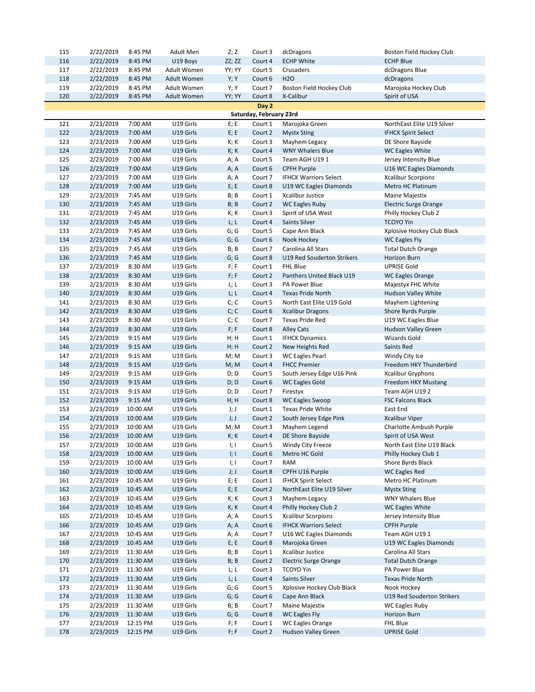| 115        | 2/22/2019              | 8:45 PM              | <b>Adult Men</b>       | Z; Z         | Court 3                 | dcDragons                                | Boston Field Hockey Club                      |
|------------|------------------------|----------------------|------------------------|--------------|-------------------------|------------------------------------------|-----------------------------------------------|
| 116        | 2/22/2019              | 8:45 PM              | U19 Boys               | ZZ; ZZ       | Court 4                 | <b>ECHP White</b>                        | <b>ECHP Blue</b>                              |
| 117        | 2/22/2019              | 8:45 PM              | Adult Women            | YY; YY       | Court 5                 | Crusaders                                | dcDragons Blue                                |
| 118        | 2/22/2019              | 8:45 PM              | Adult Women            | Y; Y         | Court 6                 | <b>H2O</b>                               | dcDragons                                     |
| 119        | 2/22/2019              | 8:45 PM              | Adult Women            | Y; Y         | Court 7                 | Boston Field Hockey Club                 | Marojoka Hockey Club                          |
| 120        | 2/22/2019              | 8:45 PM              | Adult Women            | YY; YY       | Court 8                 | X-Calibur                                | Spirit of USA                                 |
|            |                        |                      |                        |              | Day 2                   |                                          |                                               |
|            |                        |                      |                        |              | Saturday, February 23rd |                                          |                                               |
| 121        | 2/23/2019              | 7:00 AM              | U19 Girls              | E; E         | Court 1                 | Marojoka Green                           | NorthEast Elite U19 Silver                    |
| 122        | 2/23/2019              | 7:00 AM              | U19 Girls              | E; E         | Court 2                 | <b>Mystx Sting</b>                       | <b>IFHCK Spirit Select</b>                    |
| 123        | 2/23/2019              | 7:00 AM              | U19 Girls              | K; K         | Court 3                 | Mayhem Legacy                            | DE Shore Bayside                              |
| 124        | 2/23/2019              | 7:00 AM              | U19 Girls              | K; K         | Court 4                 | <b>WNY Whalers Blue</b>                  | <b>WC Eagles White</b>                        |
| 125        | 2/23/2019              | 7:00 AM              | U19 Girls              | A; A         | Court 5                 | Team AGH U191                            | Jersey Intensity Blue                         |
| 126        | 2/23/2019              | 7:00 AM              | U19 Girls              | A; A         | Court 6                 | <b>CPFH Purple</b>                       | U16 WC Eagles Diamonds                        |
| 127        | 2/23/2019              | 7:00 AM              | U19 Girls              | A; A         | Court 7                 | <b>IFHCK Warriors Select</b>             | <b>Xcalibur Scorpions</b>                     |
| 128        | 2/23/2019              | 7:00 AM              | U19 Girls              | E; E         | Court 8                 | U19 WC Eagles Diamonds                   | Metro HC Platinum                             |
| 129        | 2/23/2019              | 7:45 AM              | U19 Girls              | B; B         | Court 1                 | Xcalibur Justice                         | Maine Majestix                                |
| 130        | 2/23/2019              | 7:45 AM              | U19 Girls              | B; B         | Court 2                 | <b>WC Eagles Ruby</b>                    | <b>Electric Surge Orange</b>                  |
| 131        | 2/23/2019              | 7:45 AM              | U19 Girls              | K; K         | Court 3                 | Spirit of USA West                       | Philly Hockey Club 2                          |
| 132        | 2/23/2019              | 7:45 AM              | U19 Girls              | L; L         | Court 4                 | Saints Silver                            | <b>TCOYO Yin</b>                              |
| 133        | 2/23/2019              | 7:45 AM              | U19 Girls              | G; G         | Court 5                 | Cape Ann Black                           | Xplosive Hockey Club Black                    |
| 134        | 2/23/2019              | 7:45 AM              | U19 Girls              | G; G         | Court 6                 | Nook Hockey                              | <b>WC Eagles Fly</b>                          |
| 135        | 2/23/2019              | 7:45 AM              | U19 Girls              | B; B         | Court 7                 | Carolina All Stars                       | <b>Total Dutch Orange</b>                     |
| 136        | 2/23/2019              | 7:45 AM              | U19 Girls              | G; G         | Court 8                 | U19 Red Souderton Strikers               | Horizon Burn                                  |
| 137<br>138 | 2/23/2019<br>2/23/2019 | 8:30 AM              | U19 Girls              | F; F<br>F; F | Court 1                 | FHL Blue<br>Panthers United Black U19    | <b>UPRISE Gold</b>                            |
| 139        | 2/23/2019              | 8:30 AM<br>8:30 AM   | U19 Girls<br>U19 Girls | L; L         | Court 2<br>Court 3      | PA Power Blue                            | <b>WC Eagles Orange</b><br>Majestyx FHC White |
| 140        | 2/23/2019              | 8:30 AM              | U19 Girls              | L; L         | Court 4                 | <b>Texas Pride North</b>                 | Hudson Valley White                           |
| 141        | 2/23/2019              | 8:30 AM              | U19 Girls              | C; C         | Court 5                 | North East Elite U19 Gold                | Mayhem Lightening                             |
| 142        | 2/23/2019              | 8:30 AM              | U19 Girls              | C; C         | Court 6                 | <b>Xcalibur Dragons</b>                  | Shore Byrds Purple                            |
| 143        | 2/23/2019              | 8:30 AM              | U19 Girls              | C; C         | Court 7                 | <b>Texas Pride Red</b>                   | U19 WC Eagles Blue                            |
| 144        | 2/23/2019              | 8:30 AM              | U19 Girls              | F; F         | Court 8                 | <b>Alley Cats</b>                        | Hudson Valley Green                           |
| 145        | 2/23/2019              | 9:15 AM              | U19 Girls              | H; H         | Court 1                 | <b>IFHCK Dynamics</b>                    | Wizards Gold                                  |
| 146        | 2/23/2019              | 9:15 AM              | U19 Girls              | H; H         | Court 2                 | New Heights Red                          | Saints Red                                    |
| 147        | 2/23/2019              | 9:15 AM              | U19 Girls              | M; M         | Court 3                 | <b>WC Eagles Pearl</b>                   | Windy City Ice                                |
| 148        | 2/23/2019              | 9:15 AM              | U19 Girls              | M; M         | Court 4                 | <b>FHCC Premier</b>                      | Freedom HKY Thunderbird                       |
| 149        | 2/23/2019              | 9:15 AM              | U19 Girls              | D; D         | Court 5                 | South Jersey Edge U16 Pink               | <b>Xcalibur Gryphons</b>                      |
| 150        | 2/23/2019              | 9:15 AM              | U19 Girls              | D; D         | Court 6                 | <b>WC Eagles Gold</b>                    | Freedom HKY Mustang                           |
| 151        | 2/23/2019              | 9:15 AM              | U19 Girls              | D; D         | Court 7                 | Firestyx                                 | Team AGH U192                                 |
| 152        | 2/23/2019              | 9:15 AM              | U19 Girls              | H; H         | Court 8                 | <b>WC Eagles Swoop</b>                   | <b>FSC Falcons Black</b>                      |
| 153        | 2/23/2019              | 10:00 AM             | U19 Girls              | J; J         | Court 1                 | Texas Pride White                        | East End                                      |
| 154        | 2/23/2019              | 10:00 AM             | U19 Girls              | J;J          | Court 2                 | South Jersey Edge Pink                   | <b>Xcalibur Viper</b>                         |
| 155        | 2/23/2019              | 10:00 AM             | U19 Girls              | M; M         | Court 3                 | Mayhem Legend                            | Charlotte Ambush Purple                       |
| 156        | 2/23/2019              | 10:00 AM             | U19 Girls              | K; K         | Court 4                 | DE Shore Bayside                         | Spirit of USA West                            |
| 157        | 2/23/2019              | 10:00 AM             | U19 Girls              | I; I         | Court 5                 | Windy City Freeze                        | North East Elite U19 Black                    |
| 158        | 2/23/2019              | 10:00 AM             | U19 Girls              | I; I         | Court 6                 | Metro HC Gold                            | Philly Hockey Club 1                          |
| 159        | 2/23/2019              | 10:00 AM             | U19 Girls              | I; I         | Court 7                 | RAM                                      | Shore Byrds Black                             |
| 160        | 2/23/2019              | 10:00 AM             | U19 Girls              | J;J          | Court 8                 | CPFH U16 Purple                          | <b>WC Eagles Red</b>                          |
| 161        | 2/23/2019              | 10:45 AM             | U19 Girls              | E; E         | Court 1                 | <b>IFHCK Spirit Select</b>               | Metro HC Platinum                             |
| 162        | 2/23/2019              | 10:45 AM             | U19 Girls              | E; E         | Court 2                 | NorthEast Elite U19 Silver               | <b>Mystx Sting</b>                            |
| 163        | 2/23/2019              | 10:45 AM             | U19 Girls              | K; K         | Court 3                 | Mayhem Legacy                            | <b>WNY Whalers Blue</b>                       |
| 164        | 2/23/2019              | 10:45 AM             | U19 Girls              | K; K         | Court 4                 | Philly Hockey Club 2                     | <b>WC Eagles White</b>                        |
| 165        | 2/23/2019              | 10:45 AM             | U19 Girls              | A; A         | Court 5                 | <b>Xcalibur Scorpions</b>                | Jersey Intensity Blue                         |
| 166        | 2/23/2019              | 10:45 AM<br>10:45 AM | U19 Girls              | A; A         | Court 6                 | <b>IFHCK Warriors Select</b>             | <b>CPFH Purple</b>                            |
| 167<br>168 | 2/23/2019              |                      | U19 Girls              | A; A         | Court 7                 | U16 WC Eagles Diamonds<br>Marojoka Green | Team AGH U191<br>U19 WC Eagles Diamonds       |
| 169        | 2/23/2019              | 10:45 AM             | U19 Girls              | E; E         | Court 8                 | Xcalibur Justice                         | Carolina All Stars                            |
| 170        | 2/23/2019<br>2/23/2019 | 11:30 AM<br>11:30 AM | U19 Girls<br>U19 Girls | B; B<br>B; B | Court 1<br>Court 2      | <b>Electric Surge Orange</b>             | <b>Total Dutch Orange</b>                     |
| 171        | 2/23/2019              | 11:30 AM             | U19 Girls              | L; L         | Court 3                 | <b>TCOYO Yin</b>                         | PA Power Blue                                 |
| 172        | 2/23/2019              | 11:30 AM             | U19 Girls              | L; L         | Court 4                 | Saints Silver                            | <b>Texas Pride North</b>                      |
| 173        | 2/23/2019              | 11:30 AM             | U19 Girls              | G; G         | Court 5                 | Xplosive Hockey Club Black               | Nook Hockey                                   |
| 174        | 2/23/2019              | 11:30 AM             | U19 Girls              | G; G         | Court 6                 | Cape Ann Black                           | U19 Red Souderton Strikers                    |
| 175        | 2/23/2019              | 11:30 AM             | U19 Girls              | B; B         | Court 7                 | Maine Majestix                           | <b>WC Eagles Ruby</b>                         |
| 176        | 2/23/2019              | 11:30 AM             | U19 Girls              | G; G         | Court 8                 | <b>WC Eagles Fly</b>                     | Horizon Burn                                  |
| 177        | 2/23/2019              | 12:15 PM             | U19 Girls              | F; F         | Court 1                 | <b>WC Eagles Orange</b>                  | FHL Blue                                      |
| 178        | 2/23/2019              | 12:15 PM             | U19 Girls              | F; F         | Court 2                 | Hudson Valley Green                      | <b>UPRISE Gold</b>                            |
|            |                        |                      |                        |              |                         |                                          |                                               |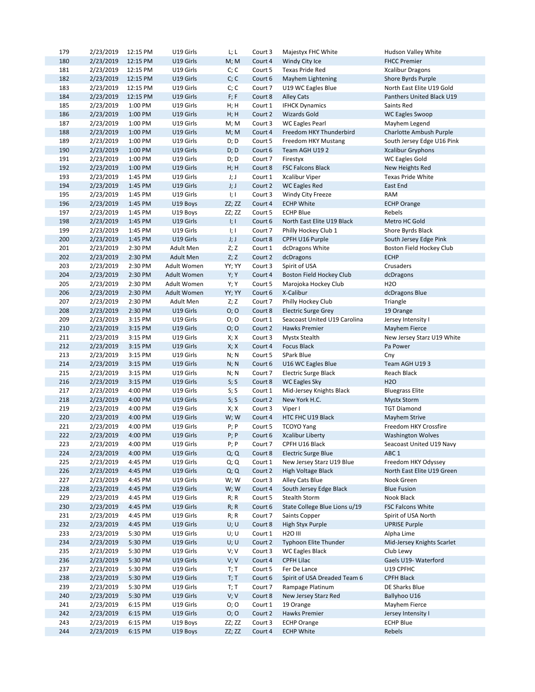| 179        | 2/23/2019              | 12:15 PM           | U19 Girls            | L; L                      | Court 3            | Majestyx FHC White                      | Hudson Valley White        |
|------------|------------------------|--------------------|----------------------|---------------------------|--------------------|-----------------------------------------|----------------------------|
| 180        | 2/23/2019              | 12:15 PM           | U19 Girls            | M; M                      | Court 4            | Windy City Ice                          | <b>FHCC Premier</b>        |
| 181        | 2/23/2019              | 12:15 PM           | U19 Girls            | C; C                      | Court 5            | <b>Texas Pride Red</b>                  | <b>Xcalibur Dragons</b>    |
| 182        | 2/23/2019              | 12:15 PM           | U19 Girls            | C; C                      | Court 6            | Mayhem Lightening                       | Shore Byrds Purple         |
| 183        | 2/23/2019              | 12:15 PM           | U19 Girls            | C; C                      | Court 7            | U19 WC Eagles Blue                      | North East Elite U19 Gold  |
| 184        | 2/23/2019              | 12:15 PM           | U19 Girls            | F; F                      | Court 8            | <b>Alley Cats</b>                       | Panthers United Black U19  |
| 185        | 2/23/2019              | 1:00 PM            | U19 Girls            | H; H                      | Court 1            | <b>IFHCK Dynamics</b>                   | Saints Red                 |
| 186        | 2/23/2019              | 1:00 PM            | U19 Girls            | H; H                      | Court 2            | <b>Wizards Gold</b>                     | WC Eagles Swoop            |
| 187        | 2/23/2019              | 1:00 PM            | U19 Girls            | M; M                      | Court 3            | WC Eagles Pearl                         | Mayhem Legend              |
| 188        | 2/23/2019              | 1:00 PM            | U19 Girls            | M; M                      | Court 4            | Freedom HKY Thunderbird                 | Charlotte Ambush Purple    |
| 189        | 2/23/2019              | 1:00 PM            | U19 Girls            | D; D                      | Court 5            | Freedom HKY Mustang                     | South Jersey Edge U16 Pink |
| 190        | 2/23/2019              | 1:00 PM            | U19 Girls            | D; D                      | Court 6            | Team AGH U192                           | <b>Xcalibur Gryphons</b>   |
| 191        | 2/23/2019              | 1:00 PM            | U19 Girls            | D; D                      | Court 7            | Firestyx                                | <b>WC Eagles Gold</b>      |
| 192        | 2/23/2019              | 1:00 PM            | U19 Girls            | H; H                      | Court 8            | <b>FSC Falcons Black</b>                | New Heights Red            |
| 193        | 2/23/2019              | 1:45 PM            | U19 Girls            | J;J                       | Court 1            | <b>Xcalibur Viper</b>                   | Texas Pride White          |
| 194        | 2/23/2019              | 1:45 PM            | U19 Girls            | J;J                       | Court 2            | <b>WC Eagles Red</b>                    | East End                   |
| 195        | 2/23/2019              | 1:45 PM            | U19 Girls            | 1;1                       | Court 3            | Windy City Freeze                       | RAM                        |
| 196        |                        |                    |                      |                           |                    |                                         |                            |
|            | 2/23/2019              | 1:45 PM            | U19 Boys             | ZZ; ZZ                    | Court 4            | <b>ECHP White</b><br><b>ECHP Blue</b>   | <b>ECHP Orange</b>         |
| 197        | 2/23/2019              | 1:45 PM            | U19 Boys             | ZZ; ZZ                    | Court 5            |                                         | Rebels                     |
| 198        | 2/23/2019              | 1:45 PM            | U19 Girls            | I; I                      | Court 6            | North East Elite U19 Black              | Metro HC Gold              |
| 199        | 2/23/2019              | 1:45 PM            | U19 Girls            | $\parallel$ ; $\parallel$ | Court 7            | Philly Hockey Club 1                    | Shore Byrds Black          |
| 200        | 2/23/2019              | 1:45 PM            | U19 Girls            | J; J                      | Court 8            | CPFH U16 Purple                         | South Jersey Edge Pink     |
| 201        | 2/23/2019              | 2:30 PM            | Adult Men            | Z; Z                      | Court 1            | dcDragons White                         | Boston Field Hockey Club   |
| 202        | 2/23/2019              | 2:30 PM            | <b>Adult Men</b>     | Z; Z                      | Court 2            | dcDragons                               | <b>ECHP</b>                |
| 203        | 2/23/2019              | 2:30 PM            | Adult Women          | YY; YY                    | Court 3            | Spirit of USA                           | Crusaders                  |
| 204        | 2/23/2019              | 2:30 PM            | Adult Women          | Y; Y                      | Court 4            | Boston Field Hockey Club                | dcDragons                  |
| 205        | 2/23/2019              | 2:30 PM            | Adult Women          | Y; Y                      | Court 5            | Marojoka Hockey Club                    | H <sub>20</sub>            |
| 206        | 2/23/2019              | 2:30 PM            | Adult Women          | YY; YY                    | Court 6            | X-Calibur                               | dcDragons Blue             |
| 207        | 2/23/2019              | 2:30 PM            | Adult Men            | Z; Z                      | Court 7            | Philly Hockey Club                      | Triangle                   |
| 208        | 2/23/2019              | 2:30 PM            | U19 Girls            | O; O                      | Court 8            | <b>Electric Surge Grey</b>              | 19 Orange                  |
| 209        | 2/23/2019              | 3:15 PM            | U19 Girls            | O; O                      | Court 1            | Seacoast United U19 Carolina            | Jersey Intensity I         |
| 210        | 2/23/2019              | 3:15 PM            | U19 Girls            | O; O                      | Court 2            | Hawks Premier                           | <b>Mayhem Fierce</b>       |
| 211        | 2/23/2019              | 3:15 PM            | U19 Girls            | X; X                      | Court 3            | Mystx Stealth                           | New Jersey Starz U19 White |
| 212        | 2/23/2019              | 3:15 PM            | U19 Girls            | X; X                      | Court 4            | <b>Focus Black</b>                      | Pa Power                   |
| 213        | 2/23/2019              | 3:15 PM            | U19 Girls            | N; N                      | Court 5            | <b>SPark Blue</b>                       | Cny                        |
| 214        | 2/23/2019              | 3:15 PM            | U19 Girls            | N; N                      | Court 6            | U16 WC Eagles Blue                      | Team AGH U193              |
| 215        | 2/23/2019              | 3:15 PM            | U19 Girls            | N; N                      | Court 7            | <b>Electric Surge Black</b>             | Reach Black                |
| 216        | 2/23/2019              | 3:15 PM            | U19 Girls            | S; S                      | Court 8            | <b>WC Eagles Sky</b>                    | <b>H2O</b>                 |
| 217        | 2/23/2019              | 4:00 PM            | U19 Girls            | S; S                      | Court 1            | Mid-Jersey Knights Black                | <b>Bluegrass Elite</b>     |
| 218        | 2/23/2019              | 4:00 PM            | U19 Girls            | S; S                      | Court 2            | New York H.C.                           | <b>Mystx Storm</b>         |
| 219        | 2/23/2019              | 4:00 PM            | U19 Girls            | X; X                      | Court 3            | Viper I                                 | <b>TGT Diamond</b>         |
| 220        | 2/23/2019              | 4:00 PM            | U19 Girls            | W; W                      | Court 4            | HTC FHC U19 Black                       | <b>Mayhem Strive</b>       |
| 221        | 2/23/2019              | 4:00 PM            | U19 Girls            | P; P                      | Court 5            | <b>TCOYO Yang</b>                       | Freedom HKY Crossfire      |
| 222        | 2/23/2019              | 4:00 PM            | U19 Girls            | $P$ ; $P$                 | Court 6            | <b>Xcalibur Liberty</b>                 | <b>Washington Wolves</b>   |
| 223        | 2/23/2019              | 4:00 PM            | U19 Girls            | P; P                      | Court 7            | CPFH U16 Black                          | Seacoast United U19 Navy   |
| 224        | 2/23/2019              | 4:00 PM            | U19 Girls            | Q; Q                      | Court 8            | <b>Electric Surge Blue</b>              | ABC <sub>1</sub>           |
| 225        | 2/23/2019              | 4:45 PM            | U19 Girls            | Q; Q                      | Court 1            | New Jersey Starz U19 Blue               | Freedom HKY Odyssey        |
| 226        | 2/23/2019              | 4:45 PM            | U19 Girls            | Q; Q                      | Court 2            | High Voltage Black                      | North East Elite U19 Green |
| 227        | 2/23/2019              | 4:45 PM            | U19 Girls            | W; W                      | Court 3            | Alley Cats Blue                         | Nook Green                 |
| 228        | 2/23/2019              | 4:45 PM            | U19 Girls            | W; W                      | Court 4            | South Jersey Edge Black                 | <b>Blue Fusion</b>         |
| 229        | 2/23/2019              | 4:45 PM            | U19 Girls            | R; R                      | Court 5            | <b>Stealth Storm</b>                    | Nook Black                 |
| 230        | 2/23/2019              | 4:45 PM            | U19 Girls            | R; R                      | Court 6            | State College Blue Lions u/19           | <b>FSC Falcons White</b>   |
| 231        | 2/23/2019              | 4:45 PM            | U19 Girls            | R; R                      | Court 7            | Saints Copper                           | Spirit of USA North        |
| 232        | 2/23/2019              | 4:45 PM            | U19 Girls            | U; U                      | Court 8            | High Styx Purple                        | <b>UPRISE Purple</b>       |
|            |                        |                    | U19 Girls            |                           |                    | <b>H2O III</b>                          | Alpha Lime                 |
| 233<br>234 | 2/23/2019<br>2/23/2019 | 5:30 PM<br>5:30 PM | U19 Girls            | U; U<br>U; U              | Court 1<br>Court 2 | Typhoon Elite Thunder                   | Mid-Jersey Knights Scarlet |
|            |                        |                    |                      |                           |                    |                                         |                            |
| 235        | 2/23/2019              | 5:30 PM            | U19 Girls            | V; V                      | Court 3            | <b>WC Eagles Black</b>                  | Club Lewy                  |
| 236        | 2/23/2019              | 5:30 PM            | U19 Girls            | V; V                      | Court 4            | <b>CPFH Lilac</b>                       | Gaels U19- Waterford       |
| 237        | 2/23/2019              | 5:30 PM            | U19 Girls            | T; T                      | Court 5            | Fer De Lance                            | U19 CPFHC                  |
| 238        | 2/23/2019              | 5:30 PM            | U19 Girls            | T; T                      | Court 6            | Spirit of USA Dreaded Team 6            | <b>CPFH Black</b>          |
| 239        | 2/23/2019              | 5:30 PM            | U19 Girls            | T; T                      | Court 7            | Rampage Platinum                        | DE Sharks Blue             |
| 240        | 2/23/2019              | 5:30 PM            | U19 Girls            | V; V                      | Court 8            | New Jersey Starz Red                    | Ballyhoo U16               |
| 241        | 2/23/2019              | 6:15 PM            | U19 Girls            | 0; 0                      | Court 1            | 19 Orange                               | Mayhem Fierce              |
| 242        | 2/23/2019              | 6:15 PM            | U19 Girls            | O; O                      | Court 2            | Hawks Premier                           | Jersey Intensity I         |
|            |                        |                    |                      |                           |                    |                                         |                            |
| 243<br>244 | 2/23/2019<br>2/23/2019 | 6:15 PM<br>6:15 PM | U19 Boys<br>U19 Boys | ZZ; ZZ<br>ZZ; ZZ          | Court 3<br>Court 4 | <b>ECHP Orange</b><br><b>ECHP White</b> | <b>ECHP Blue</b><br>Rebels |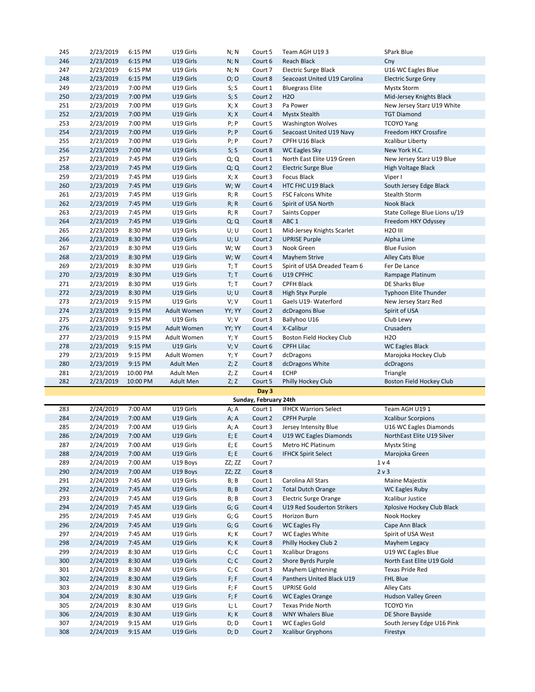| 245        | 2/23/2019              | 6:15 PM            | U19 Girls              | N; N         | Court 5               | Team AGH U193                                     | <b>SPark Blue</b>                      |
|------------|------------------------|--------------------|------------------------|--------------|-----------------------|---------------------------------------------------|----------------------------------------|
| 246        | 2/23/2019              | 6:15 PM            | U19 Girls              | N; N         | Court 6               | Reach Black                                       | Cny                                    |
| 247        | 2/23/2019              | 6:15 PM            | U19 Girls              | N; N         | Court 7               | <b>Electric Surge Black</b>                       | U16 WC Eagles Blue                     |
| 248        | 2/23/2019              | 6:15 PM            | U19 Girls              | O; O         | Court 8               | Seacoast United U19 Carolina                      | <b>Electric Surge Grey</b>             |
| 249        | 2/23/2019              | 7:00 PM            | U19 Girls              | S; S         | Court 1               | <b>Bluegrass Elite</b>                            | <b>Mystx Storm</b>                     |
| 250        | 2/23/2019              | 7:00 PM            | U19 Girls              | S; S         | Court 2               | <b>H2O</b>                                        | Mid-Jersey Knights Black               |
| 251        | 2/23/2019              | 7:00 PM            | U19 Girls              | X; X         | Court 3               | Pa Power                                          | New Jersey Starz U19 White             |
| 252        | 2/23/2019              | 7:00 PM            | U19 Girls              | X; X         | Court 4               | <b>Mystx Stealth</b>                              | <b>TGT Diamond</b>                     |
| 253        | 2/23/2019              | 7:00 PM            | U19 Girls              | P; P         | Court 5               | <b>Washington Wolves</b>                          | <b>TCOYO Yang</b>                      |
| 254        | 2/23/2019              | 7:00 PM            | U19 Girls              | $P$ ; $P$    | Court 6               | Seacoast United U19 Navy                          | Freedom HKY Crossfire                  |
| 255        | 2/23/2019              | 7:00 PM            | U19 Girls              | P; P         | Court 7               | CPFH U16 Black                                    | Xcalibur Liberty                       |
| 256        | 2/23/2019              | 7:00 PM            | U19 Girls              | S; S         | Court 8               | <b>WC Eagles Sky</b>                              | New York H.C.                          |
| 257        | 2/23/2019              | 7:45 PM            | U19 Girls              | Q; Q         | Court 1               | North East Elite U19 Green                        | New Jersey Starz U19 Blue              |
| 258        | 2/23/2019              | 7:45 PM            | U19 Girls              | Q; Q         | Court 2               | <b>Electric Surge Blue</b>                        | High Voltage Black                     |
|            |                        |                    |                        |              |                       |                                                   |                                        |
| 259        | 2/23/2019              | 7:45 PM            | U19 Girls              | X; X         | Court 3               | <b>Focus Black</b>                                | Viper I                                |
| 260        | 2/23/2019              | 7:45 PM            | U19 Girls              | W; W         | Court 4               | HTC FHC U19 Black                                 | South Jersey Edge Black                |
| 261        | 2/23/2019              | 7:45 PM            | U19 Girls              | R; R         | Court 5               | <b>FSC Falcons White</b>                          | Stealth Storm                          |
| 262        | 2/23/2019              | 7:45 PM            | U19 Girls              | R; R         | Court 6               | Spirit of USA North                               | Nook Black                             |
| 263        | 2/23/2019              | 7:45 PM            | U19 Girls              | R; R         | Court 7               | Saints Copper                                     | State College Blue Lions u/19          |
| 264        | 2/23/2019              | 7:45 PM            | U19 Girls              | Q; Q         | Court 8               | ABC <sub>1</sub>                                  | Freedom HKY Odyssey                    |
| 265        | 2/23/2019              | 8:30 PM            | U19 Girls              | U; U         | Court 1               | Mid-Jersey Knights Scarlet                        | <b>H2O III</b>                         |
| 266        | 2/23/2019              | 8:30 PM            | U19 Girls              | U; U         | Court 2               | <b>UPRISE Purple</b>                              | Alpha Lime                             |
| 267        | 2/23/2019              | 8:30 PM            | U19 Girls              | W; W         | Court 3               | Nook Green                                        | <b>Blue Fusion</b>                     |
| 268        | 2/23/2019              | 8:30 PM            | U19 Girls              | W;W          | Court 4               | Mayhem Strive                                     | <b>Alley Cats Blue</b>                 |
| 269        | 2/23/2019              | 8:30 PM            | U19 Girls              | T; T         | Court 5               | Spirit of USA Dreaded Team 6                      | Fer De Lance                           |
| 270        | 2/23/2019              | 8:30 PM            | U19 Girls              | T; T         | Court 6               | U19 CPFHC                                         | Rampage Platinum                       |
| 271        | 2/23/2019              | 8:30 PM            | U19 Girls              | T; T         | Court 7               | <b>CPFH Black</b>                                 | DE Sharks Blue                         |
| 272        | 2/23/2019              | 8:30 PM            | U19 Girls              | U; U         | Court 8               | High Styx Purple                                  | <b>Typhoon Elite Thunder</b>           |
| 273        | 2/23/2019              | 9:15 PM            | U19 Girls              | V; V         | Court 1               | Gaels U19- Waterford                              | New Jersey Starz Red                   |
| 274        | 2/23/2019              | 9:15 PM            | Adult Women            | YY; YY       | Court 2               | dcDragons Blue                                    | Spirit of USA                          |
| 275        | 2/23/2019              | 9:15 PM            | U19 Girls              | V; V         | Court 3               | Ballyhoo U16                                      | Club Lewy                              |
| 276        | 2/23/2019              | 9:15 PM            | Adult Women            | YY; YY       | Court 4               | X-Calibur                                         | Crusaders                              |
| 277        | 2/23/2019              | 9:15 PM            | Adult Women            | Y; Y         | Court 5               | Boston Field Hockey Club                          | H <sub>20</sub>                        |
| 278        | 2/23/2019              | 9:15 PM            | U19 Girls              | V; V         | Court 6               | <b>CPFH Lilac</b>                                 | <b>WC Eagles Black</b>                 |
| 279        | 2/23/2019              | 9:15 PM            | Adult Women            | Y; Y         | Court 7               | dcDragons                                         | Marojoka Hockey Club                   |
| 280        | 2/23/2019              | 9:15 PM            | <b>Adult Men</b>       | Z; Z         | Court 8               | dcDragons White                                   | dcDragons                              |
| 281        | 2/23/2019              | 10:00 PM           | Adult Men              | Z; Z         | Court 4               | <b>ECHP</b>                                       | Triangle                               |
| 282        | 2/23/2019              | 10:00 PM           | <b>Adult Men</b>       | Z; Z         | Court 5               | Philly Hockey Club                                | Boston Field Hockey Club               |
|            |                        |                    |                        |              | Day 3                 |                                                   |                                        |
|            |                        |                    |                        |              | Sunday, February 24th |                                                   |                                        |
| 283        | 2/24/2019              | 7:00 AM            | U19 Girls              | A; A         | Court 1               | <b>IFHCK Warriors Select</b>                      | Team AGH U191                          |
| 284        | 2/24/2019              | 7:00 AM            | U19 Girls              | A; A         | Court 2               | <b>CPFH Purple</b>                                | <b>Xcalibur Scorpions</b>              |
| 285        | 2/24/2019              | 7:00 AM            | U19 Girls              | A; A         | Court 3               | Jersey Intensity Blue                             | U16 WC Eagles Diamonds                 |
| 286        | 2/24/2019              | 7:00 AM            | U19 Girls              | E; E         | Court 4               | U19 WC Eagles Diamonds                            | NorthEast Elite U19 Silver             |
| 287        | 2/24/2019              | 7:00 AM            | U19 Girls              | E; E         | Court 5               | Metro HC Platinum                                 | <b>Mystx Sting</b>                     |
| 288        | 2/24/2019              | 7:00 AM            | U19 Girls              | E; E         | Court 6               | <b>IFHCK Spirit Select</b>                        | Marojoka Green                         |
| 289        | 2/24/2019              | 7:00 AM            | U19 Boys               | ZZ; ZZ       | Court 7               |                                                   | 1 <sub>v</sub>                         |
| 290        | 2/24/2019              | 7:00 AM            | U19 Boys               | ZZ; ZZ       | Court 8               |                                                   | 2 v 3                                  |
| 291        | 2/24/2019              | 7:45 AM            | U19 Girls              | B; B         | Court 1               | Carolina All Stars                                | Maine Majestix                         |
| 292        | 2/24/2019              | 7:45 AM            | U19 Girls              | B; B         | Court 2               | <b>Total Dutch Orange</b>                         | <b>WC Eagles Ruby</b>                  |
| 293        | 2/24/2019              | 7:45 AM            | U19 Girls              | B; B         | Court 3               | <b>Electric Surge Orange</b>                      | Xcalibur Justice                       |
| 294        | 2/24/2019              | 7:45 AM            | U19 Girls              | G; G         | Court 4               | U19 Red Souderton Strikers                        | Xplosive Hockey Club Black             |
| 295        | 2/24/2019              | 7:45 AM            | U19 Girls              | G; G         | Court 5               | Horizon Burn                                      | Nook Hockey                            |
| 296        | 2/24/2019              | 7:45 AM            | U19 Girls              | G; G         | Court 6               | <b>WC Eagles Fly</b>                              | Cape Ann Black                         |
| 297        | 2/24/2019              | 7:45 AM            | U19 Girls              | K; K         | Court 7               | <b>WC Eagles White</b>                            | Spirit of USA West                     |
| 298        | 2/24/2019              | 7:45 AM            | U19 Girls              | K; K         | Court 8               | Philly Hockey Club 2                              | Mayhem Legacy                          |
| 299        | 2/24/2019              | 8:30 AM            | U19 Girls              | C; C         | Court 1               | <b>Xcalibur Dragons</b>                           | U19 WC Eagles Blue                     |
| 300        |                        |                    |                        |              |                       | Shore Byrds Purple                                | North East Elite U19 Gold              |
| 301        |                        |                    |                        |              |                       |                                                   |                                        |
|            | 2/24/2019              | 8:30 AM            | U19 Girls              | C; C         | Court 2               |                                                   |                                        |
|            | 2/24/2019              | 8:30 AM            | U19 Girls              | C; C         | Court 3               | Mayhem Lightening                                 | Texas Pride Red                        |
| 302        | 2/24/2019              | 8:30 AM            | U19 Girls              | F; F         | Court 4               | Panthers United Black U19                         | <b>FHL Blue</b>                        |
| 303        | 2/24/2019              | 8:30 AM            | U19 Girls              | F; F         | Court 5               | <b>UPRISE Gold</b>                                | <b>Alley Cats</b>                      |
| 304        | 2/24/2019              | 8:30 AM            | U19 Girls              | F; F         | Court 6               | <b>WC Eagles Orange</b>                           | Hudson Valley Green                    |
| 305        | 2/24/2019              | 8:30 AM            | U19 Girls              | L; L         | Court 7               | Texas Pride North                                 | <b>TCOYO Yin</b>                       |
| 306        | 2/24/2019              | 8:30 AM            | U19 Girls              | K; K         | Court 8               | <b>WNY Whalers Blue</b>                           | DE Shore Bayside                       |
| 307<br>308 | 2/24/2019<br>2/24/2019 | 9:15 AM<br>9:15 AM | U19 Girls<br>U19 Girls | D; D<br>D; D | Court 1<br>Court 2    | <b>WC Eagles Gold</b><br><b>Xcalibur Gryphons</b> | South Jersey Edge U16 Pink<br>Firestyx |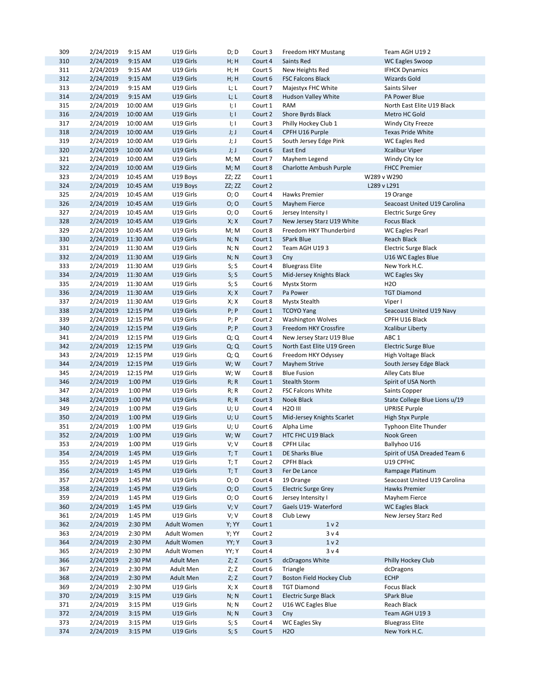| 309 | 2/24/2019 | 9:15 AM  | U19 Girls        | D; D      | Court 3 | Freedom HKY Mustang         | Team AGH U19 2                |  |
|-----|-----------|----------|------------------|-----------|---------|-----------------------------|-------------------------------|--|
| 310 | 2/24/2019 | 9:15 AM  | U19 Girls        | H; H      | Court 4 | Saints Red                  | <b>WC Eagles Swoop</b>        |  |
| 311 | 2/24/2019 | 9:15 AM  | U19 Girls        | H; H      | Court 5 | New Heights Red             | <b>IFHCK Dynamics</b>         |  |
| 312 | 2/24/2019 | 9:15 AM  | U19 Girls        | H; H      | Court 6 | <b>FSC Falcons Black</b>    | <b>Wizards Gold</b>           |  |
| 313 | 2/24/2019 | 9:15 AM  | U19 Girls        | L; L      | Court 7 | Majestyx FHC White          | Saints Silver                 |  |
| 314 | 2/24/2019 | 9:15 AM  | U19 Girls        | L; L      | Court 8 | Hudson Valley White         | <b>PA Power Blue</b>          |  |
| 315 | 2/24/2019 | 10:00 AM | U19 Girls        | l; I      | Court 1 | <b>RAM</b>                  | North East Elite U19 Black    |  |
| 316 | 2/24/2019 | 10:00 AM | U19 Girls        | I; I      | Court 2 | Shore Byrds Black           | Metro HC Gold                 |  |
| 317 | 2/24/2019 | 10:00 AM | U19 Girls        | l; I      | Court 3 | Philly Hockey Club 1        | <b>Windy City Freeze</b>      |  |
| 318 | 2/24/2019 | 10:00 AM | U19 Girls        | J;J       | Court 4 | CPFH U16 Purple             | <b>Texas Pride White</b>      |  |
| 319 | 2/24/2019 | 10:00 AM | U19 Girls        | J; J      | Court 5 | South Jersey Edge Pink      | WC Eagles Red                 |  |
| 320 | 2/24/2019 | 10:00 AM | U19 Girls        | J;J       | Court 6 | East End                    | <b>Xcalibur Viper</b>         |  |
| 321 | 2/24/2019 | 10:00 AM | U19 Girls        | M; M      | Court 7 | Mayhem Legend               |                               |  |
| 322 |           |          |                  |           |         |                             | Windy City Ice                |  |
|     | 2/24/2019 | 10:00 AM | U19 Girls        | M; M      | Court 8 | Charlotte Ambush Purple     | <b>FHCC Premier</b>           |  |
| 323 | 2/24/2019 | 10:45 AM | U19 Boys         | ZZ; ZZ    | Court 1 |                             | W289 v W290                   |  |
| 324 | 2/24/2019 | 10:45 AM | U19 Boys         | ZZ; ZZ    | Court 2 |                             | L289 v L291                   |  |
| 325 | 2/24/2019 | 10:45 AM | U19 Girls        | O; O      | Court 4 | Hawks Premier               | 19 Orange                     |  |
| 326 | 2/24/2019 | 10:45 AM | U19 Girls        | O; O      | Court 5 | Mayhem Fierce               | Seacoast United U19 Carolina  |  |
| 327 | 2/24/2019 | 10:45 AM | U19 Girls        | O; O      | Court 6 | Jersey Intensity I          | <b>Electric Surge Grey</b>    |  |
| 328 | 2/24/2019 | 10:45 AM | U19 Girls        | X; X      | Court 7 | New Jersey Starz U19 White  | <b>Focus Black</b>            |  |
| 329 | 2/24/2019 | 10:45 AM | U19 Girls        | M; M      | Court 8 | Freedom HKY Thunderbird     | WC Eagles Pearl               |  |
| 330 | 2/24/2019 | 11:30 AM | U19 Girls        | N; N      | Court 1 | <b>SPark Blue</b>           | Reach Black                   |  |
| 331 | 2/24/2019 | 11:30 AM | U19 Girls        | N; N      | Court 2 | Team AGH U193               | <b>Electric Surge Black</b>   |  |
| 332 | 2/24/2019 | 11:30 AM | U19 Girls        | N; N      | Court 3 | Cny                         | U16 WC Eagles Blue            |  |
| 333 | 2/24/2019 | 11:30 AM | U19 Girls        | S; S      | Court 4 | <b>Bluegrass Elite</b>      | New York H.C.                 |  |
| 334 | 2/24/2019 | 11:30 AM | U19 Girls        | S; S      | Court 5 | Mid-Jersey Knights Black    | <b>WC Eagles Sky</b>          |  |
| 335 | 2/24/2019 | 11:30 AM | U19 Girls        | S; S      | Court 6 | <b>Mystx Storm</b>          | H <sub>20</sub>               |  |
| 336 | 2/24/2019 | 11:30 AM | U19 Girls        | X; X      | Court 7 | Pa Power                    | <b>TGT Diamond</b>            |  |
| 337 | 2/24/2019 | 11:30 AM | U19 Girls        | X; X      | Court 8 | <b>Mystx Stealth</b>        | Viper I                       |  |
| 338 | 2/24/2019 | 12:15 PM | U19 Girls        | $P$ ; $P$ | Court 1 | <b>TCOYO Yang</b>           | Seacoast United U19 Navy      |  |
| 339 | 2/24/2019 | 12:15 PM | U19 Girls        | $P$ ; $P$ | Court 2 | <b>Washington Wolves</b>    | CPFH U16 Black                |  |
| 340 | 2/24/2019 | 12:15 PM | U19 Girls        | $P$ ; $P$ | Court 3 | Freedom HKY Crossfire       | <b>Xcalibur Liberty</b>       |  |
| 341 |           |          | U19 Girls        |           |         |                             | ABC 1                         |  |
|     | 2/24/2019 | 12:15 PM |                  | Q; Q      | Court 4 | New Jersey Starz U19 Blue   |                               |  |
| 342 | 2/24/2019 | 12:15 PM | U19 Girls        | Q; Q      | Court 5 | North East Elite U19 Green  | <b>Electric Surge Blue</b>    |  |
| 343 | 2/24/2019 | 12:15 PM | U19 Girls        | Q; Q      | Court 6 | Freedom HKY Odyssey         | High Voltage Black            |  |
| 344 | 2/24/2019 | 12:15 PM | U19 Girls        | W;W       | Court 7 | <b>Mayhem Strive</b>        | South Jersey Edge Black       |  |
| 345 | 2/24/2019 | 12:15 PM | U19 Girls        | W; W      | Court 8 | <b>Blue Fusion</b>          | Alley Cats Blue               |  |
| 346 | 2/24/2019 | 1:00 PM  | U19 Girls        | R; R      | Court 1 | <b>Stealth Storm</b>        | Spirit of USA North           |  |
| 347 | 2/24/2019 | 1:00 PM  | U19 Girls        | R; R      | Court 2 | <b>FSC Falcons White</b>    | Saints Copper                 |  |
| 348 | 2/24/2019 | 1:00 PM  | U19 Girls        | R; R      | Court 3 | Nook Black                  | State College Blue Lions u/19 |  |
| 349 | 2/24/2019 | 1:00 PM  | U19 Girls        | U; U      | Court 4 | <b>H2O III</b>              | <b>UPRISE Purple</b>          |  |
| 350 | 2/24/2019 | 1:00 PM  | U19 Girls        | U; U      | Court 5 | Mid-Jersey Knights Scarlet  | High Styx Purple              |  |
| 351 | 2/24/2019 | 1:00 PM  | U19 Girls        | U; U      | Court 6 | Alpha Lime                  | Typhoon Elite Thunder         |  |
| 352 | 2/24/2019 | 1:00 PM  | U19 Girls        | W; W      | Court 7 | HTC FHC U19 Black           | Nook Green                    |  |
| 353 | 2/24/2019 | 1:00 PM  | U19 Girls        | V; V      | Court 8 | CPFH Lilac                  | Ballyhoo U16                  |  |
| 354 | 2/24/2019 | 1:45 PM  | U19 Girls        | T; T      | Court 1 | DE Sharks Blue              | Spirit of USA Dreaded Team 6  |  |
| 355 | 2/24/2019 | 1:45 PM  | U19 Girls        | T; T      | Court 2 | <b>CPFH Black</b>           | U19 CPFHC                     |  |
| 356 | 2/24/2019 | 1:45 PM  | U19 Girls        | T; T      | Court 3 | Fer De Lance                | Rampage Platinum              |  |
| 357 | 2/24/2019 | 1:45 PM  | U19 Girls        | O; O      | Court 4 | 19 Orange                   | Seacoast United U19 Carolina  |  |
| 358 | 2/24/2019 | 1:45 PM  | U19 Girls        | O; O      | Court 5 | <b>Electric Surge Grey</b>  | Hawks Premier                 |  |
| 359 | 2/24/2019 | 1:45 PM  | U19 Girls        | O; O      | Court 6 | Jersey Intensity I          | Mayhem Fierce                 |  |
| 360 | 2/24/2019 | 1:45 PM  | U19 Girls        | V; V      | Court 7 | Gaels U19- Waterford        | <b>WC Eagles Black</b>        |  |
| 361 | 2/24/2019 | 1:45 PM  | U19 Girls        | V; V      | Court 8 | Club Lewy                   | New Jersey Starz Red          |  |
| 362 | 2/24/2019 | 2:30 PM  | Adult Women      | Y; YY     | Court 1 | 1 <sub>v</sub>              |                               |  |
| 363 | 2/24/2019 | 2:30 PM  | Adult Women      | Y; YY     | Court 2 | 3 v 4                       |                               |  |
| 364 | 2/24/2019 | 2:30 PM  | Adult Women      | YY; Y     | Court 3 | 1 <sub>v</sub>              |                               |  |
| 365 | 2/24/2019 | 2:30 PM  | Adult Women      | YY; Y     | Court 4 | 3 v 4                       |                               |  |
| 366 | 2/24/2019 | 2:30 PM  | Adult Men        | Z; Z      | Court 5 | dcDragons White             | Philly Hockey Club            |  |
| 367 | 2/24/2019 | 2:30 PM  | Adult Men        | Z; Z      | Court 6 | Triangle                    | dcDragons                     |  |
| 368 | 2/24/2019 | 2:30 PM  | <b>Adult Men</b> | Z; Z      | Court 7 | Boston Field Hockey Club    | <b>ECHP</b>                   |  |
| 369 | 2/24/2019 | 2:30 PM  | U19 Girls        | X; X      | Court 8 | <b>TGT Diamond</b>          | Focus Black                   |  |
| 370 | 2/24/2019 | 3:15 PM  | U19 Girls        | N; N      | Court 1 | <b>Electric Surge Black</b> | SPark Blue                    |  |
| 371 | 2/24/2019 | 3:15 PM  | U19 Girls        | N; N      | Court 2 | U16 WC Eagles Blue          | Reach Black                   |  |
| 372 | 2/24/2019 | 3:15 PM  | U19 Girls        | N; N      | Court 3 | Cny                         | Team AGH U193                 |  |
| 373 | 2/24/2019 | 3:15 PM  | U19 Girls        | S; S      | Court 4 | WC Eagles Sky               | <b>Bluegrass Elite</b>        |  |
| 374 | 2/24/2019 | 3:15 PM  | U19 Girls        | S; S      | Court 5 | <b>H2O</b>                  | New York H.C.                 |  |
|     |           |          |                  |           |         |                             |                               |  |